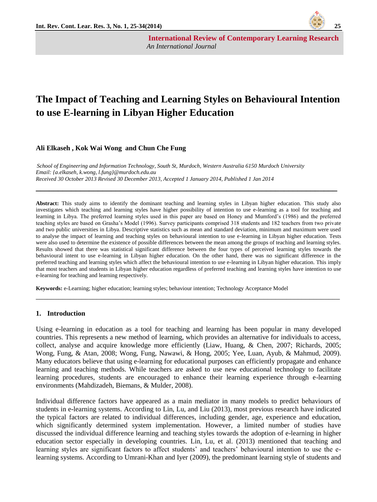

**International Review of Contemporary Learning Research**  *An International Journal* 

# **The Impact of Teaching and Learning Styles on Behavioural Intention to use E-learning in Libyan Higher Education**

#### **Ali Elkaseh , Kok Wai Wong and Chun Che Fung**

*School of Engineering and Information Technology, South St, Murdoch, Western Australia 6150 Murdoch University Email: {a.elkaseh, k.wong, l.fung}@murdoch.edu.au Received 30 October 2013 Revised 30 December 2013, Accepted 1 January 2014, Published 1 Jan 2014*

**Abstract:** This study aims to identify the dominant teaching and learning styles in Libyan higher education. This study also investigates which teaching and learning styles have higher possibility of intention to use e-learning as a tool for teaching and learning in Libya. The preferred learning styles used in this paper are based on Honey and Mumford's (1986) and the preferred teaching styles are based on Grasha's Model (1996). Survey participants comprised 318 students and 182 teachers from two private and two public universities in Libya. Descriptive statistics such as mean and standard deviation, minimum and maximum were used to analyse the impact of learning and teaching styles on behavioural intention to use e-learning in Libyan higher education. Tests were also used to determine the existence of possible differences between the mean among the groups of teaching and learning styles. Results showed that there was statistical significant difference between the four types of perceived learning styles towards the behavioural intent to use e-learning in Libyan higher education. On the other hand, there was no significant difference in the preferred teaching and learning styles which affect the behavioural intention to use e-learning in Libyan higher education. This imply that most teachers and students in Libyan higher education regardless of preferred teaching and learning styles have intention to use e-learning for teaching and learning respectively.

\_\_\_\_\_\_\_\_\_\_\_\_\_\_\_\_\_\_\_\_\_\_\_\_\_\_\_\_\_\_\_\_\_\_\_\_\_\_\_\_\_\_\_\_\_\_\_\_\_\_\_\_\_\_\_\_\_\_\_\_\_\_\_\_\_\_\_\_\_\_\_\_\_\_\_\_\_\_\_\_

**\_\_\_\_\_\_\_\_\_\_\_\_\_\_\_\_\_\_\_\_\_\_\_\_\_\_\_\_\_\_\_\_\_\_\_\_\_\_\_\_\_\_\_\_\_\_\_\_\_\_\_\_\_\_\_\_\_\_\_\_\_\_\_\_\_\_\_\_**

**Keywords:** e-Learning; higher education; learning styles; behaviour intention; Technology Acceptance Model

#### **1. Introduction**

Using e-learning in education as a tool for teaching and learning has been popular in many developed countries. This represents a new method of learning, which provides an alternative for individuals to access, collect, analyse and acquire knowledge more efficiently [\(Liaw, Huang, & Chen, 2007;](#page-8-0) [Richards, 2005;](#page-9-0) [Wong, Fung, & Atan, 2008;](#page-9-1) [Wong, Fung, Nawawi, & Hong, 2005;](#page-9-2) [Yee, Luan, Ayub, & Mahmud, 2009\)](#page-9-3). Many educators believe that using e-learning for educational purposes can efficiently propagate and enhance learning and teaching methods. While teachers are asked to use new educational technology to facilitate learning procedures, students are encouraged to enhance their learning experience through e-learning environments [\(Mahdizadeh, Biemans, & Mulder, 2008\)](#page-8-1).

Individual difference factors have appeared as a main mediator in many models to predict behaviours of students in e-learning systems. According to [Lin, Lu, and Liu \(2013\)](#page-8-2), most previous research have indicated the typical factors are related to individual differences, including gender, age, experience and education, which significantly determined system implementation. However, a limited number of studies have discussed the individual difference learning and teaching styles towards the adoption of e-learning in higher education sector especially in developing countries. [Lin, Lu, et al. \(2013\)](#page-8-2) mentioned that teaching and learning styles are significant factors to affect students' and teachers' behavioural intention to use the elearning systems. According to [Umrani-Khan and Iyer \(2009\)](#page-9-4), the predominant learning style of students and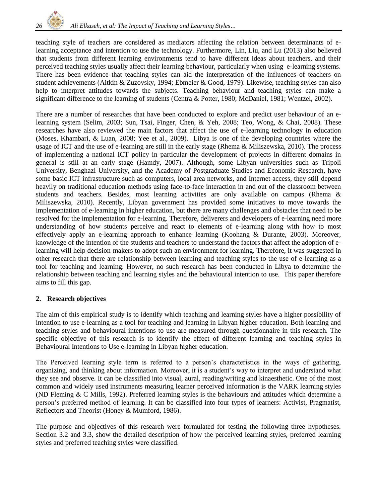

teaching style of teachers are considered as mediators affecting the relation between determinants of elearning acceptance and intention to use the technology. Furthermore, [Lin, Liu, and Lu \(2013\)](#page-8-3) also believed that students from different learning environments tend to have different ideas about teachers, and their perceived teaching styles usually affect their learning behaviour, particularly when using e-learning systems. There has been evidence that teaching styles can aid the interpretation of the influences of teachers on student achievements [\(Aitkin & Zuzovsky, 1994;](#page-8-4) [Ebmeier & Good, 1979\)](#page-8-5). Likewise, teaching styles can also help to interpret attitudes towards the subjects. Teaching behaviour and teaching styles can make a significant difference to the learning of students [\(Centra & Potter, 1980;](#page-8-6) [McDaniel, 1981;](#page-8-7) [Wentzel, 2002\)](#page-9-5).

There are a number of researches that have been conducted to explore and predict user behaviour of an elearning system [\(Selim, 2003;](#page-9-6) [Sun, Tsai, Finger, Chen, & Yeh, 2008;](#page-9-7) [Teo, Wong, & Chai, 2008\)](#page-9-8). These researches have also reviewed the main factors that affect the use of e-learning technology in education [\(Moses, Khambari, & Luan, 2008;](#page-9-9) [Yee et al., 2009\)](#page-9-3). Libya is one of the developing countries where the usage of ICT and the use of e-learning are still in the early stage [\(Rhema & Miliszewska, 2010\)](#page-9-10). The process of implementing a national ICT policy in particular the development of projects in different domains in general is still at an early stage [\(Hamdy, 2007\)](#page-8-8). Although, some Libyan universities such as Tripoli University, Benghazi University, and the Academy of Postgraduate Studies and Economic Research, have some basic ICT infrastructure such as computers, local area networks, and Internet access, they still depend heavily on traditional education methods using face-to-face interaction in and out of the classroom between students and teachers. Besides, most learning activities are only available on campus [\(Rhema &](#page-9-10)  [Miliszewska, 2010\)](#page-9-10). Recently, Libyan government has provided some initiatives to move towards the implementation of e-learning in higher education, but there are many challenges and obstacles that need to be resolved for the implementation for e-learning. Therefore, deliverers and developers of e-learning need more understanding of how students perceive and react to elements of e-learning along with how to most effectively apply an e-learning approach to enhance learning (Koohang & Durante, 2003). Moreover, knowledge of the intention of the students and teachers to understand the factors that affect the adoption of elearning will help decision-makers to adopt such an environment for learning. Therefore, it was suggested in other research that there are relationship between learning and teaching styles to the use of e-learning as a tool for teaching and learning. However, no such research has been conducted in Libya to determine the relationship between teaching and learning styles and the behavioural intention to use. This paper therefore aims to fill this gap.

## **2. Research objectives**

The aim of this empirical study is to identify which teaching and learning styles have a higher possibility of intention to use e-learning as a tool for teaching and learning in Libyan higher education. Both learning and teaching styles and behavioural intentions to use are measured through questionnaire in this research. The specific objective of this research is to identify the effect of different learning and teaching styles in Behavioural Intentions to Use e-learning in Libyan higher education.

The Perceived learning style term is referred to a person's characteristics in the ways of gathering, organizing, and thinking about information. Moreover, it is a student's way to interpret and understand what they see and observe. It can be classified into visual, aural, reading/writing and kinaesthetic. One of the most common and widely used instruments measuring learner perceived information is the VARK learning styles [\(ND Fleming & C Mills, 1992\)](#page-8-9). Preferred learning styles is the behaviours and attitudes which determine a person's preferred method of learning. It can be classified into four types of learners: Activist, Pragmatist, Reflectors and Theorist [\(Honey & Mumford, 1986\)](#page-8-10).

The purpose and objectives of this research were formulated for testing the following three hypotheses. Section 3.2 and 3.3, show the detailed description of how the perceived learning styles, preferred learning styles and preferred teaching styles were classified.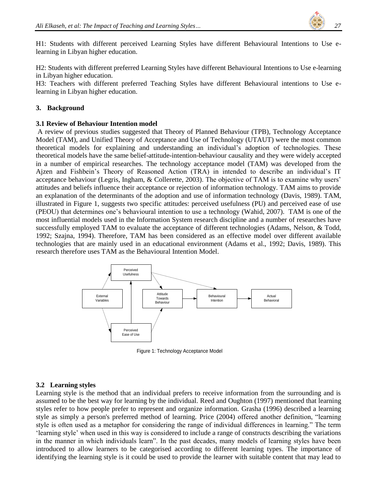

H1: Students with different perceived Learning Styles have different Behavioural Intentions to Use elearning in Libyan higher education.

H2: Students with different preferred Learning Styles have different Behavioural Intentions to Use e-learning in Libyan higher education.

H3: Teachers with different preferred Teaching Styles have different Behavioural intentions to Use elearning in Libyan higher education.

## **3. Background**

## **3.1 Review of Behaviour Intention model**

A review of previous studies suggested that Theory of Planned Behaviour (TPB), Technology Acceptance Model (TAM), and Unified Theory of Acceptance and Use of Technology (UTAUT) were the most common theoretical models for explaining and understanding an individual's adoption of technologies. These theoretical models have the same belief-attitude-intention-behaviour causality and they were widely accepted in a number of empirical researches. The technology acceptance model (TAM) was developed from the Ajzen and Fishbein's Theory of Reasoned Action (TRA) in intended to describe an individual's IT acceptance behaviour [\(Legris, Ingham, & Collerette, 2003\)](#page-8-11). The objective of TAM is to examine why users' attitudes and beliefs influence their acceptance or rejection of information technology. TAM aims to provide an explanation of the determinants of the adoption and use of information technology [\(Davis, 1989\)](#page-8-12). TAM, illustrated in Figure 1, suggests two specific attitudes: perceived usefulness (PU) and perceived ease of use (PEOU) that determines one's behavioural intention to use a technology [\(Wahid, 2007\)](#page-9-11). TAM is one of the most influential models used in the Information System research discipline and a number of researches have successfully employed TAM to evaluate the acceptance of different technologies [\(Adams, Nelson, & Todd,](#page-8-13)  [1992;](#page-8-13) [Szajna, 1994\)](#page-9-12). Therefore, TAM has been considered as an effective model over different available technologies that are mainly used in an educational environment [\(Adams et al., 1992;](#page-8-13) [Davis, 1989\)](#page-8-12). This research therefore uses TAM as the Behavioural Intention Model.



Figure 1: Technology Acceptance Model

## **3.2 Learning styles**

Learning style is the method that an individual prefers to receive information from the surrounding and is assumed to be the best way for learning by the individual. [Reed and Oughton \(1997\)](#page-9-13) mentioned that learning styles refer to how people prefer to represent and organize information. [Grasha \(1996\)](#page-8-14) described a learning style as simply a person's preferred method of learning. [Price \(2004\)](#page-9-14) offered another definition, "learning style is often used as a metaphor for considering the range of individual differences in learning." The term 'learning style' when used in this way is considered to include a range of constructs describing the variations in the manner in which individuals learn". In the past decades, many models of learning styles have been introduced to allow learners to be categorised according to different learning types. The importance of identifying the learning style is it could be used to provide the learner with suitable content that may lead to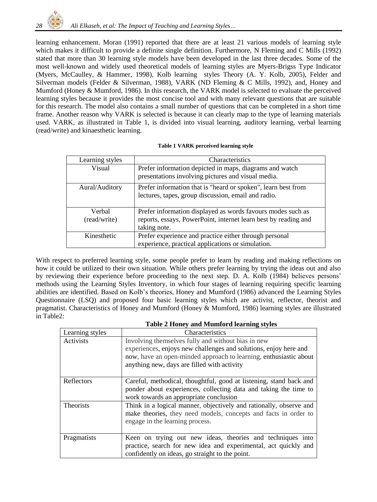

learning enhancement. [Moran \(1991\)](#page-9-15) reported that there are at least 21 various models of learning style which makes it difficult to provide a definite single definition. Furthermore, [N Fleming and C Mills \(1992\)](#page-8-15) stated that more than 30 learning style models have been developed in the last three decades. Some of the most well-known and widely used theoretical models of learning styles are Myers-Brigss Type Indicator (Myers, [McCaulley, & Hammer, 1998\)](#page-9-16), Kolb learning styles Theory [\(A. Y. Kolb, 2005\)](#page-8-16), Felder and Silverman models [\(Felder & Silverman, 1988\)](#page-8-17), VARK [\(ND Fleming & C Mills, 1992\)](#page-8-9), and, Honey and Mumford [\(Honey & Mumford, 1986\)](#page-8-10). In this research, the VARK model is selected to evaluate the perceived learning styles because it provides the most concise tool and with many relevant questions that are suitable for this research. The model also contains a small number of questions that can be completed in a short time frame. Another reason why VARK is selected is because it can clearly map to the type of learning materials used. VARK, as illustrated in Table 1, is divided into visual learning, auditory learning, verbal learning (read/write) and kinaesthetic learning.

#### **Table 1 VARK perceived learning style**

| Learning styles        | Characteristics                                                                                                                                |
|------------------------|------------------------------------------------------------------------------------------------------------------------------------------------|
| Visual                 | Prefer information depicted in maps, diagrams and watch<br>presentations involving pictures and visual media.                                  |
| Aural/Auditory         | Prefer information that is "heard or spoken", learn best from<br>lectures, tapes, group discussion, email and radio.                           |
| Verbal<br>(read/write) | Prefer information displayed as words favours modes such as<br>reports, essays, PowerPoint, internet learn best by reading and<br>taking note. |
| Kinesthetic            | Prefer experience and practice either through personal<br>experience, practical applications or simulation.                                    |

With respect to preferred learning style, some people prefer to learn by reading and making reflections on how it could be utilized to their own situation. While others prefer learning by trying the ideas out and also by reviewing their experience before proceeding to the next step. [D. A. Kolb \(1984\)](#page-8-18) believes persons' methods using the Learning Styles Inventory, in which four stages of learning requiring specific learning abilities are identified. Based on Kolb's theories, [Honey and Mumford \(1986\)](#page-8-10) advanced the Learning Styles Questionnaire (LSQ) and proposed four basic learning styles which are activist, reflector, theorist and pragmatist. Characteristics of Honey and Mumford [\(Honey & Mumford, 1986\)](#page-8-10) learning styles are illustrated in Table2:

|                  | <b>Table 2 Honey and Mumford learning styles</b>                                                                                                                                                                                           |
|------------------|--------------------------------------------------------------------------------------------------------------------------------------------------------------------------------------------------------------------------------------------|
| Learning styles  | Characteristics                                                                                                                                                                                                                            |
| Activists        | Involving themselves fully and without bias in new<br>experiences, enjoys new challenges and solutions, enjoy here and<br>now, have an open-minded approach to learning, enthusiastic about<br>anything new, days are filled with activity |
| Reflectors       | Careful, methodical, thoughtful, good at listening, stand back and<br>ponder about experiences, collecting data and taking the time to<br>work towards an appropriate conclusion                                                           |
| <b>Theorists</b> | Think in a logical manner, objectively and rationally, observe and<br>make theories, they need models, concepts and facts in order to<br>engage in the learning process.                                                                   |
| Pragmatists      | Keen on trying out new ideas, theories and techniques into<br>practice, search for new idea and experimental, act quickly and<br>confidently on ideas, go straight to the point.                                                           |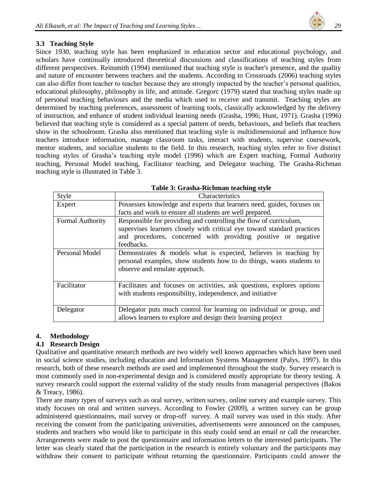

# **3.3 Teaching Style**

Since 1930, teaching style has been emphasized in education sector and educational psychology, and scholars have continually introduced theoretical discussions and classifications of teaching styles from different perspectives. [Reinsmith \(1994\)](#page-9-17) mentioned that teaching style is teacher's presence, and the quality and nature of encounter between teachers and the students. According to [Crossroads \(2006\)](#page-8-19) teaching styles can also differ from teacher to teacher because they are strongly impacted by the teacher's personal qualities, educational philosophy, philosophy in life, and attitude. [Gregorc \(1979\)](#page-8-20) stated that teaching styles made up of personal teaching behaviours and the media which used to receive and transmit. Teaching styles are determined by teaching preferences, assessment of learning tools, classically acknowledged by the delivery of instruction, and enhance of student individual learning needs [\(Grasha, 1996;](#page-8-14) [Hunt, 1971\)](#page-8-21). [Grasha \(1996\)](#page-8-14) believed that teaching style is considered as a special pattern of needs, behaviours, and beliefs that teachers show in the schoolroom. Grasha also mentioned that teaching style is multidimensional and influence how teachers introduce information, manage classroom tasks, interact with students, supervise coursework, mentor students, and socialize students to the field. In this research, teaching styles refer to five distinct teaching styles of Grasha's teaching style model (1996) which are Expert teaching, Formal Authority teaching, Personal Model teaching, Facilitator teaching, and Delegator teaching. The Grasha-Richman teaching style is illustrated in Table 3.

| Style                   | Characteristics                                                                                                                                                                                               |
|-------------------------|---------------------------------------------------------------------------------------------------------------------------------------------------------------------------------------------------------------|
| Expert                  | Possesses knowledge and experts that learners need, guides, focuses on                                                                                                                                        |
|                         | facts and work to ensure all students are well prepared.                                                                                                                                                      |
| <b>Formal Authority</b> | Responsible for providing and controlling the flow of curriculum,<br>supervises learners closely with critical eye toward standard practices<br>and procedures, concerned with providing positive or negative |
|                         | feedbacks.                                                                                                                                                                                                    |
| Personal Model          | Demonstrates $\&$ models what is expected, believes in teaching by<br>personal examples, show students how to do things, wants students to<br>observe and emulate approach.                                   |
| Facilitator             | Facilitates and focuses on activities, ask questions, explores options<br>with students responsibility, independence, and initiative                                                                          |
| Delegator               | Delegator puts much control for learning on individual or group, and<br>allows learners to explore and design their learning project                                                                          |

# **4. Methodology**

## **4.1 Research Design**

Qualitative and quantitative research methods are two widely well known approaches which have been used in social science studies, including education and Information Systems Management [\(Palys, 1997\)](#page-9-18). In this research, both of these research methods are used and implemented throughout the study. Survey research is most commonly used in non-experimental design and is considered mostly appropriate for theory testing. A survey research could support the external validity of the study results from managerial perspectives [\(Bakos](#page-8-22)  [& Treacy, 1986\)](#page-8-22).

There are many types of surveys such as oral survey, written survey, online survey and example survey. This study focuses on oral and written surveys. According to [Fowler \(2009\)](#page-8-23), a written survey can be group administered questionnaires, mail survey or drop-off survey. A mail survey was used in this study. After receiving the consent from the participating universities, advertisements were announced on the campuses, students and teachers who would like to participate in this study could send an email or call the researcher. Arrangements were made to post the questionnaire and information letters to the interested participants. The letter was clearly stated that the participation in the research is entirely voluntary and the participants may withdraw their consent to participate without returning the questionnaire. Participants could answer the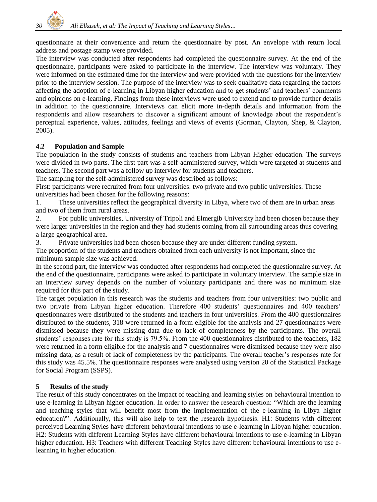

questionnaire at their convenience and return the questionnaire by post. An envelope with return local address and postage stamp were provided.

The interview was conducted after respondents had completed the questionnaire survey. At the end of the questionnaire, participants were asked to participate in the interview. The interview was voluntary. They were informed on the estimated time for the interview and were provided with the questions for the interview prior to the interview session. The purpose of the interview was to seek qualitative data regarding the factors affecting the adoption of e-learning in Libyan higher education and to get students' and teachers' comments and opinions on e-learning. Findings from these interviews were used to extend and to provide further details in addition to the questionnaire. Interviews can elicit more in-depth details and information from the respondents and allow researchers to discover a significant amount of knowledge about the respondent's perceptual experience, values, attitudes, feelings and views of events [\(Gorman, Clayton, Shep, & Clayton,](#page-8-24)  [2005\)](#page-8-24).

## **4.2 Population and Sample**

The population in the study consists of students and teachers from Libyan Higher education. The surveys were divided in two parts. The first part was a self-administered survey, which were targeted at students and teachers. The second part was a follow up interview for students and teachers.

The sampling for the self-administered survey was described as follows:

First: participants were recruited from four universities: two private and two public universities. These universities had been chosen for the following reasons:

1. These universities reflect the geographical diversity in Libya, where two of them are in urban areas and two of them from rural areas.

2. For public universities, University of Tripoli and Elmergib University had been chosen because they were larger universities in the region and they had students coming from all surrounding areas thus covering a large geographical area.

3. Private universities had been chosen because they are under different funding system.

The proportion of the students and teachers obtained from each university is not important, since the minimum sample size was achieved.

In the second part, the interview was conducted after respondents had completed the questionnaire survey. At the end of the questionnaire, participants were asked to participate in voluntary interview. The sample size in an interview survey depends on the number of voluntary participants and there was no minimum size required for this part of the study.

The target population in this research was the students and teachers from four universities: two public and two private from Libyan higher education. Therefore 400 students' questionnaires and 400 teachers' questionnaires were distributed to the students and teachers in four universities. From the 400 questionnaires distributed to the students, 318 were returned in a form eligible for the analysis and 27 questionnaires were dismissed because they were missing data due to lack of completeness by the participants. The overall students' responses rate for this study is 79.5%. From the 400 questionnaires distributed to the teachers, 182 were returned in a form eligible for the analysis and 7 questionnaires were dismissed because they were also missing data, as a result of lack of completeness by the participants. The overall teacher's responses rate for this study was 45.5%. The questionnaire responses were analysed using version 20 of the Statistical Package for Social Program (SSPS).

## **5 Results of the study**

The result of this study concentrates on the impact of teaching and learning styles on behavioural intention to use e-learning in Libyan higher education. In order to answer the research question: "Which are the learning and teaching styles that will benefit most from the implementation of the e-learning in Libya higher education?". Additionally, this will also help to test the research hypothesis. H1: Students with different perceived Learning Styles have different behavioural intentions to use e-learning in Libyan higher education. H2: Students with different Learning Styles have different behavioural intentions to use e-learning in Libyan higher education. H3: Teachers with different Teaching Styles have different behavioural intentions to use elearning in higher education.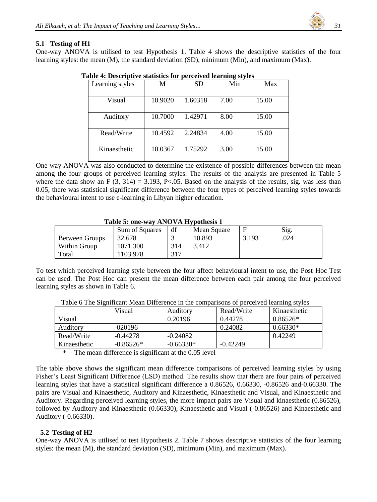

#### **5.1 Testing of H1**

One-way ANOVA is utilised to test Hypothesis 1. Table 4 shows the descriptive statistics of the four learning styles: the mean (M), the standard deviation (SD), minimum (Min), and maximum (Max).

| Learning styles | M       | <b>SD</b> | Min  | Max   |
|-----------------|---------|-----------|------|-------|
| Visual          | 10.9020 | 1.60318   | 7.00 | 15.00 |
| Auditory        | 10.7000 | 1.42971   | 8.00 | 15.00 |
| Read/Write      | 10.4592 | 2.24834   | 4.00 | 15.00 |
| Kinaesthetic    | 10.0367 | 1.75292   | 3.00 | 15.00 |

**Table 4: Descriptive statistics for perceived learning styles**

One-way ANOVA was also conducted to determine the existence of possible differences between the mean among the four groups of perceived learning styles. The results of the analysis are presented in Table 5 where the data show an F  $(3, 314) = 3.193$ , P<.05. Based on the analysis of the results, sig. was less than 0.05, there was statistical significant difference between the four types of perceived learning styles towards the behavioural intent to use e-learning in Libyan higher education.

#### **Table 5: one-way ANOVA Hypothesis 1**

|                | Sum of Squares | df  | Mean Square |       | Sig. |
|----------------|----------------|-----|-------------|-------|------|
| Between Groups | 32.678         |     | 10.893      | 3.193 | .024 |
| Within Group   | 1071.300       | 314 | 3.412       |       |      |
| Total          | 103.978        | 317 |             |       |      |

To test which perceived learning style between the four affect behavioural intent to use, the Post Hoc Test can be used. The Post Hoc can present the mean difference between each pair among the four perceived learning styles as shown in Table 6.

|              | Visual      | Auditory    | Read/Write | Kinaesthetic |
|--------------|-------------|-------------|------------|--------------|
| Visual       |             | 0.20196     | 0.44278    | $0.86526*$   |
| Auditory     | $-020196$   |             | 0.24082    | $0.66330*$   |
| Read/Write   | $-0.44278$  | $-0.24082$  |            | 0.42249      |
| Kinaesthetic | $-0.86526*$ | $-0.66330*$ | $-0.42249$ |              |

Table 6 The Significant Mean Difference in the comparisons of perceived learning styles

\* The mean difference is significant at the 0.05 level

The table above shows the significant mean difference comparisons of perceived learning styles by using Fisher's Least Significant Difference (LSD) method. The results show that there are four pairs of perceived learning styles that have a statistical significant difference a 0.86526, 0.66330, -0.86526 and-0.66330. The pairs are Visual and Kinaesthetic, Auditory and Kinaesthetic, Kinaesthetic and Visual, and Kinaesthetic and Auditory. Regarding perceived learning styles, the more impact pairs are Visual and kinaesthetic (0.86526), followed by Auditory and Kinaesthetic (0.66330), Kinaesthetic and Visual (-0.86526) and Kinaesthetic and Auditory (-0.66330).

## **5.2 Testing of H2**

One-way ANOVA is utilised to test Hypothesis 2. Table 7 shows descriptive statistics of the four learning styles: the mean (M), the standard deviation (SD), minimum (Min), and maximum (Max).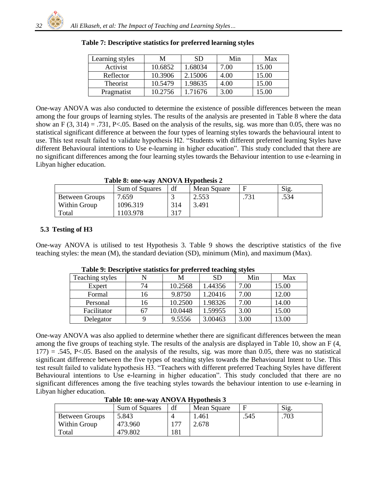| Learning styles | M       | SD.     | Min  | Max   |
|-----------------|---------|---------|------|-------|
| Activist        | 10.6852 | 1.68034 | 7.00 | 15.00 |
| Reflector       | 10.3906 | 2.15006 | 4.00 | 15.00 |
| <b>Theorist</b> | 10.5479 | 1.98635 | 4.00 | 15.00 |
| Pragmatist      | 10.2756 | 1.71676 | 3.00 | 15.00 |

**Table 7: Descriptive statistics for preferred learning styles**

One-way ANOVA was also conducted to determine the existence of possible differences between the mean among the four groups of learning styles. The results of the analysis are presented in Table 8 where the data show an F  $(3, 314) = .731$ , P<.05. Based on the analysis of the results, sig. was more than 0.05, there was no statistical significant difference at between the four types of learning styles towards the behavioural intent to use. This test result failed to validate hypothesis H2. "Students with different preferred learning Styles have different Behavioural intentions to Use e-learning in higher education". This study concluded that there are no significant differences among the four learning styles towards the Behaviour intention to use e-learning in Libyan higher education.

**Table 8: one-way ANOVA Hypothesis 2**

|                       | Sum of Squares | df  | Mean Square |      | Sig. |
|-----------------------|----------------|-----|-------------|------|------|
| <b>Between Groups</b> | 7.659          |     | 2.553       | .731 | .534 |
| Within Group          | 1096.319       | 314 | 3.491       |      |      |
| Total                 | 103.978        | 317 |             |      |      |

# **5.3 Testing of H3**

One-way ANOVA is utilised to test Hypothesis 3. Table 9 shows the descriptive statistics of the five teaching styles: the mean (M), the standard deviation (SD), minimum (Min), and maximum (Max).

|                 |    |         |           | . ~ - ు |       |
|-----------------|----|---------|-----------|---------|-------|
| Teaching styles |    | М       | <b>SD</b> | Min     | Max   |
| Expert          | 74 | 10.2568 | 1.44356   | 7.00    | 15.00 |
| Formal          | 16 | 9.8750  | 1.20416   | 7.00    | 12.00 |
| Personal        | 16 | 10.2500 | 1.98326   | 7.00    | 14.00 |
| Facilitator     |    | 10.0448 | 1.59955   | 3.00    | 15.00 |
| Delegator       |    | 9.5556  | 3.00463   | 3.00    | 13.00 |

**Table 9: Descriptive statistics for preferred teaching styles**

One-way ANOVA was also applied to determine whether there are significant differences between the mean among the five groups of teaching style. The results of the analysis are displayed in Table 10, show an F (4,  $177$ ) = .545, P<.05. Based on the analysis of the results, sig. was more than 0.05, there was no statistical significant difference between the five types of teaching styles towards the Behavioural Intent to Use. This test result failed to validate hypothesis H3. "Teachers with different preferred Teaching Styles have different Behavioural intentions to Use e-learning in higher education". This study concluded that there are no significant differences among the five teaching styles towards the behaviour intention to use e-learning in Libyan higher education.

|                       | Sum of Squares | df  | Mean Square |      | $\mathrm{Sig}$ |  |  |  |
|-----------------------|----------------|-----|-------------|------|----------------|--|--|--|
| <b>Between Groups</b> | 5.843          |     | 1.461       | .545 | .703           |  |  |  |
| Within Group          | 473.960        |     | 2.678       |      |                |  |  |  |
| Total                 | 479.802        | 181 |             |      |                |  |  |  |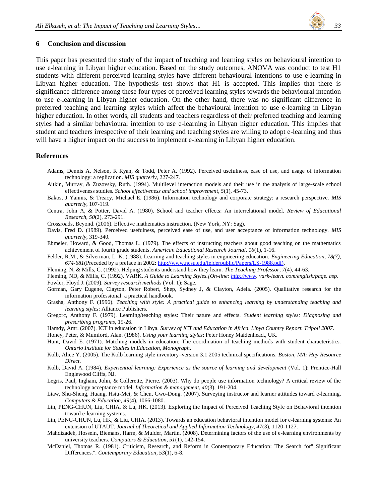

#### **6 Conclusion and discussion**

This paper has presented the study of the impact of teaching and learning styles on behavioural intention to use e-learning in Libyan higher education. Based on the study outcomes, ANOVA was conduct to test H1 students with different perceived learning styles have different behavioural intentions to use e-learning in Libyan higher education. The hypothesis test shows that H1 is accepted. This implies that there is significance difference among these four types of perceived learning styles towards the behavioural intention to use e-learning in Libyan higher education. On the other hand, there was no significant difference in preferred teaching and learning styles which affect the behavioural intention to use e-learning in Libyan higher education. In other words, all students and teachers regardless of their preferred teaching and learning styles had a similar behavioural intention to use e-learning in Libyan higher education. This implies that student and teachers irrespective of their learning and teaching styles are willing to adopt e-learning and thus will have a higher impact on the success to implement e-learning in Libyan higher education.

#### **References**

- <span id="page-8-13"></span>Adams, Dennis A, Nelson, R Ryan, & Todd, Peter A. (1992). Perceived usefulness, ease of use, and usage of information technology: a replication. *MIS quarterly*, 227-247.
- <span id="page-8-4"></span>Aitkin, Murray, & Zuzovsky, Ruth. (1994). Multilevel interaction models and their use in the analysis of large-scale school effectiveness studies. *School effectiveness and school improvement, 5*(1), 45-73.
- <span id="page-8-22"></span>Bakos, J Yannis, & Treacy, Michael E. (1986). Information technology and corporate strategy: a research perspective. *MIS quarterly*, 107-119.
- <span id="page-8-6"></span>Centra, John A, & Potter, David A. (1980). School and teacher effects: An interrelational model. *Review of Educational Research, 50*(2), 273-291.
- <span id="page-8-19"></span>Crossroads, Beyond. (2006). Effective mathematics instruction. (New York, NY: Sag).
- <span id="page-8-12"></span>Davis, Fred D. (1989). Perceived usefulness, perceived ease of use, and user acceptance of information technology. *MIS quarterly*, 319-340.
- <span id="page-8-5"></span>Ebmeier, Howard, & Good, Thomas L. (1979). The effects of instructing teachers about good teaching on the mathematics achievement of fourth grade students. *American Educational Research Journal, 16*(1), 1-16.
- <span id="page-8-17"></span>Felder, R.M., & Silverman, L. K. (1988). Learning and teaching styles in engineering education. *Engineering Education, 78(7), 674-681*(Preceded by a preface in 2002: [http://www.ncsu.edu/felderpublic/Papers/LS-1988.pdf\).](http://www.ncsu.edu/felderpublic/Papers/LS-1988.pdf))
- <span id="page-8-15"></span>Fleming, N, & Mills, C. (1992). Helping students understand how they learn. *The Teaching Professor, 7*(4), 44-63.
- <span id="page-8-9"></span>Fleming, ND, & Mills, C. (1992). VARK. *A Guide to Learning Styles.[On-line[: http://www.](http://www/) vark-learn. com/english/page. asp*.
- <span id="page-8-23"></span>Fowler, Floyd J. (2009). *Survey research methods* (Vol. 1): Sage.
- <span id="page-8-24"></span>Gorman, Gary Eugene, Clayton, Peter Robert, Shep, Sydney J, & Clayton, Adela. (2005). Qualitative research for the information professional: a practical handbook.
- <span id="page-8-14"></span>Grasha, Anthony F. (1996). *Teaching with style: A practical guide to enhancing learning by understanding teaching and learning styles*: Alliance Publishers.
- <span id="page-8-20"></span>Gregorc, Anthony F. (1979). Learning/teaching styles: Their nature and effects. *Student learning styles: Diagnosing and prescribing programs*, 19-26.
- <span id="page-8-8"></span>Hamdy, Amr. (2007). ICT in education in Libya. *Survey of ICT and Education in Africa. Libya Country Report. Tripoli 2007*.
- <span id="page-8-10"></span>Honey, Peter, & Mumford, Alan. (1986). *Using your learning styles*: Peter Honey Maidenhead,, UK.
- <span id="page-8-21"></span>Hunt, David E. (1971). Matching models in education: The coordination of teaching methods with student characteristics. *Ontario Institute for Studies in Education, Monograph*.
- <span id="page-8-16"></span>Kolb, Alice Y. (2005). The Kolb learning style inventory–version 3.1 2005 technical specifications. *Boston, MA: Hay Resource Direct*.
- <span id="page-8-18"></span>Kolb, David A. (1984). *Experiential learning: Experience as the source of learning and development* (Vol. 1): Prentice-Hall Englewood Cliffs, NJ.
- <span id="page-8-11"></span>Legris, Paul, Ingham, John, & Collerette, Pierre. (2003). Why do people use information technology? A critical review of the technology acceptance model. *Information & management, 40*(3), 191-204.
- <span id="page-8-0"></span>Liaw, Shu-Sheng, Huang, Hsiu-Mei, & Chen, Gwo-Dong. (2007). Surveying instructor and learner attitudes toward e-learning. *Computers & Education, 49*(4), 1066-1080.
- <span id="page-8-3"></span>Lin, PENG-CHUN, Liu, CHIA, & Lu, HK. (2013). Exploring the Impact of Perceived Teaching Style on Behavioral intention toward e-learning systems.
- <span id="page-8-2"></span>Lin, PENG-CHUN, Lu, HK, & Liu, CHIA. (2013). Towards an education behavioral intention model for e-learning systems: An extension of UTAUT. *Journal of Theoretical and Applied Information Technology, 47*(3), 1120-1127.
- <span id="page-8-1"></span>Mahdizadeh, Hossein, Biemans, Harm, & Mulder, Martin. (2008). Determining factors of the use of e-learning environments by university teachers. *Computers & Education, 51*(1), 142-154.
- <span id="page-8-7"></span>McDaniel, Thomas R. (1981). Criticism, Research, and Reform in Contemporary Education: The Search for" Significant Differences.". *Contemporary Education, 53*(1), 6-8.